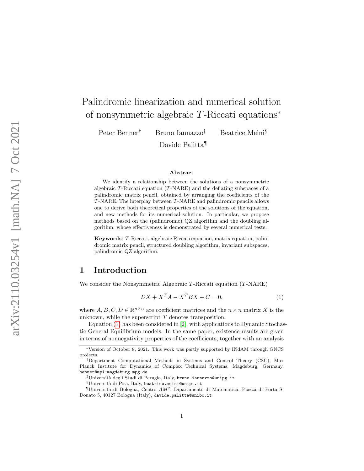# Palindromic linearization and numerical solution of nonsymmetric algebraic T-Riccati equations ∗

Peter Benner

† Bruno Iannazzo

‡ Beatrice Meini §

Davide Palitta ¶

#### Abstract

We identify a relationship between the solutions of a nonsymmetric algebraic T-Riccati equation ( T-NARE) and the deflating subspaces of a palindromic matrix pencil, obtained by arranging the coefficients of the T-NARE. The interplay between T-NARE and palindromic pencils allows one to derive both theoretical properties of the solutions of the equation, and new methods for its numerical solution. In particular, we propose methods based on the (palindromic) QZ algorithm and the doubling algorithm, whose effectiveness is demonstrated by several numerical tests.

Keywords : T-Riccati, algebraic Riccati equation, matrix equation, palindromic matrix pencil, structured doubling algorithm, invariant subspaces, palindromic QZ algorithm.

# 1 Introduction

We consider the Nonsymmetric Algebraic T-Riccati equation ( T-NARE)

<span id="page-0-0"></span>
$$
DX + X^T A - X^T BX + C = 0,\t(1)
$$

where  $A, B, C, D \in \mathbb{R}^{n \times n}$  are coefficient matrices and the  $n \times n$  matrix X is the unknown, while the superscript  $T$  denotes transposition.

Equation [\(1\)](#page-0-0) has been considered in [\[2\]](#page-21-0), with applications to Dynamic Stochastic General Equilibrium models. In the same paper, existence results are given in terms of nonnegativity properties of the coefficients, together with an analysis

<sup>∗</sup>Version of October 8, 2021. This work was partly supported by INdAM through GNCS projects.

<sup>†</sup>Department Computational Methods in Systems and Control Theory (CSC), Max Planck Institute for Dynamics of Complex Technical Systems, Magdeburg, Germany, benner@mpi-magdeburg.mpg.de

<sup>‡</sup>Universit`a degli Studi di Perugia, Italy, bruno.iannazzo@unipg.it

<sup>§</sup>Universit`a di Pisa, Italy, beatrice.meini@unipi.it

<sup>&</sup>lt;sup>1</sup>Universita di Bologna, Centro  $AM^2$ , Dipartimento di Matematica, Piazza di Porta S. Donato 5, 40127 Bologna (Italy), davide.palitta@unibo.it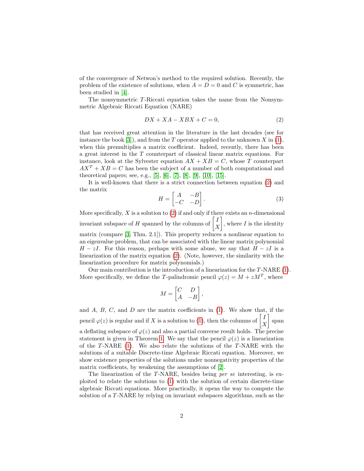of the convergence of Netwon's method to the required solution. Recently, the problem of the existence of solutions, when  $A = D = 0$  and C is symmetric, has been studied in [\[4\]](#page-21-1).

The nonsymmetric T-Riccati equation takes the name from the Nonsymmetric Algebraic Riccati Equation (NARE)

<span id="page-1-0"></span>
$$
DX + XA - XBX + C = 0,\t(2)
$$

that has received great attention in the literature in the last decades (see for instance the book [\[3\]](#page-21-2)), and from the  $T$  operator applied to the unknown  $X$  in [\(1\)](#page-0-0), when this premultiplies a matrix coefficient. Indeed, recently, there has been a great interest in the T counterpart of classical linear matrix equations. For instance, look at the Sylvester equation  $AX + XB = C$ , whose T counterpart  $AX<sup>T</sup> + XB = C$  has been the subject of a number of both computational and theoretical papers; see, e.g., [\[5\]](#page-21-3), [\[6\]](#page-21-4), [\[7\]](#page-21-5), [\[8\]](#page-21-6), [\[9\]](#page-21-7), [\[10\]](#page-22-0), [\[15\]](#page-22-1).

It is well-known that there is a strict connection between equation [\(2\)](#page-1-0) and the matrix

<span id="page-1-1"></span>
$$
H = \begin{bmatrix} A & -B \\ -C & -D \end{bmatrix}.
$$
 (3)

More specifically,  $X$  is a solution to [\(2\)](#page-1-0) if and only if there exists an *n*-dimensional invariant subspace of H spanned by the columns of  $\begin{bmatrix} I \\ V \end{bmatrix}$  $\boldsymbol{X}$ , where  $I$  is the identity matrix (compare [\[3,](#page-21-2) Thm. 2.1]). This property reduces a nonlinear equation to an eigenvalue problem, that can be associated with the linear matrix polynomial  $H - zI$ . For this reason, perhaps with some abuse, we say that  $H - zI$  is a linearization of the matrix equation [\(2\)](#page-1-0). (Note, however, the similarity with the linearization procedure for matrix polynomials.)

Our main contribution is the introduction of a linearization for the T-NARE [\(1\)](#page-0-0). More specifically, we define the T-palindromic pencil  $\varphi(z) = M + zM^T$ , where

$$
M = \begin{bmatrix} C & D \\ A & -B \end{bmatrix},
$$

and  $A, B, C$ , and  $D$  are the matrix coefficients in  $(1)$ . We show that, if the pencil  $\varphi(z)$  is regular and if X is a solution to [\(1\)](#page-0-0), then the columns of  $\begin{bmatrix} I \\ V \end{bmatrix}$ X span a deflating subspace of  $\varphi(z)$  and also a partial converse result holds. The precise statement is given in Theorem [1.](#page-3-0) We say that the pencil  $\varphi(z)$  is a linearization of the  $T\text{-NARE}$  [\(1\)](#page-0-0). We also relate the solutions of the  $T\text{-NARE}$  with the solutions of a suitable Discrete-time Algebraic Riccati equation. Moreover, we show existence properties of the solutions under nonnegativity properties of the matrix coefficients, by weakening the assumptions of [\[2\]](#page-21-0).

The linearization of the T-NARE, besides being per se interesting, is exploited to relate the solutions to [\(1\)](#page-0-0) with the solution of certain discrete-time algebraic Riccati equations. More practically, it opens the way to compute the solution of a T-NARE by relying on invariant subspaces algorithms, such as the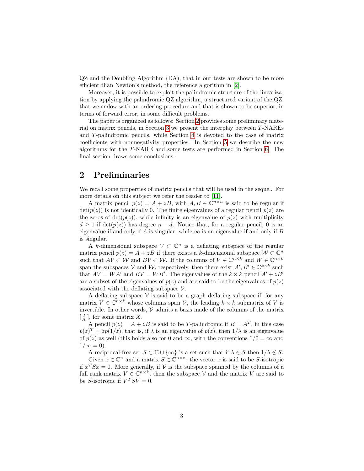QZ and the Doubling Algorithm (DA), that in our tests are shown to be more efficient than Newton's method, the reference algorithm in [\[2\]](#page-21-0).

Moreover, it is possible to exploit the palindromic structure of the linearization by applying the palindromic QZ algorithm, a structured variant of the QZ, that we endow with an ordering procedure and that is shown to be superior, in terms of forward error, in some difficult problems.

The paper is organized as follows: Section [2](#page-2-0) provides some preliminary material on matrix pencils, in Section [3](#page-3-1) we present the interplay between T-NAREs and T-palindromic pencils, while Section [4](#page-6-0) is devoted to the case of matrix coefficients with nonnegativity properties. In Section [5](#page-8-0) we describe the new algorithms for the T-NARE and some tests are performed in Section [6.](#page-15-0) The final section draws some conclusions.

# <span id="page-2-0"></span>2 Preliminaries

We recall some properties of matrix pencils that will be used in the sequel. For more details on this subject we refer the reader to [\[11\]](#page-22-2).

A matrix pencil  $p(z) = A + zB$ , with  $A, B \in \mathbb{C}^{n \times n}$  is said to be regular if  $\det(p(z))$  is not identically 0. The finite eigenvalues of a regular pencil  $p(z)$  are the zeros of  $det(p(z))$ , while infinity is an eigenvalue of  $p(z)$  with multiplicity  $d \geq 1$  if  $\det(p(z))$  has degree  $n - d$ . Notice that, for a regular pencil, 0 is an eigenvalue if and only if  $A$  is singular, while  $\infty$  is an eigenvalue if and only if  $B$ is singular.

A k-dimensional subspace  $V \subset \mathbb{C}^n$  is a deflating subspace of the regular matrix pencil  $p(z) = A + zB$  if there exists a k-dimensional subspace  $W \subset \mathbb{C}^n$ such that  $AV \subset W$  and  $BV \subset W$ . If the columns of  $V \in \mathbb{C}^{n \times k}$  and  $W \in \mathbb{C}^{n \times k}$ span the subspaces V and W, respectively, then there exist  $A', B' \in \mathbb{C}^{k \times k}$  such that  $AV = WA'$  and  $BV = WB'$ . The eigenvalues of the  $k \times k$  pencil  $A' + zB'$ are a subset of the eigenvalues of  $p(z)$  and are said to be the eigenvalues of  $p(z)$ associated with the deflating subspace  $\mathcal V$ .

A deflating subspace  $V$  is said to be a graph deflating subspace if, for any matrix  $V \in \mathbb{C}^{n \times k}$  whose columns span  $V$ , the leading  $k \times k$  submatrix of V is invertible. In other words,  $V$  admits a basis made of the columns of the matrix  $\begin{bmatrix} I \\ X \end{bmatrix}$ , for some matrix X.

A pencil  $p(z) = A + zB$  is said to be T-palindromic if  $B = A<sup>T</sup>$ , in this case  $p(z)^T = zp(1/z)$ , that is, if  $\lambda$  is an eigenvalue of  $p(z)$ , then  $1/\lambda$  is an eigenvalue of  $p(z)$  as well (this holds also for 0 and  $\infty$ , with the conventions  $1/0 = \infty$  and  $1/\infty = 0$ ).

A reciprocal-free set  $S \subset \mathbb{C} \cup \{\infty\}$  is a set such that if  $\lambda \in S$  then  $1/\lambda \notin S$ .

Given  $x \in \mathbb{C}^n$  and a matrix  $S \in \mathbb{C}^{n \times n}$ , the vector x is said to be S-isotropic if  $x^T S x = 0$ . More generally, if V is the subspace spanned by the columns of a full rank matrix  $V \in \mathbb{C}^{n \times k}$ , then the subspace V and the matrix V are said to be S-isotropic if  $V^T S V = 0$ .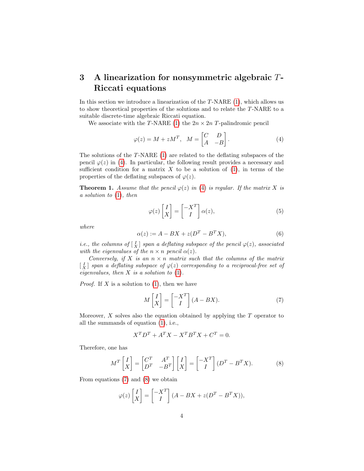# <span id="page-3-1"></span>3 A linearization for nonsymmetric algebraic  $T$ -Riccati equations

In this section we introduce a linearization of the  $T\text{-}NARE$  [\(1\)](#page-0-0), which allows us to show theoretical properties of the solutions and to relate the T-NARE to a suitable discrete-time algebraic Riccati equation.

We associate with the T-NARE [\(1\)](#page-0-0) the  $2n \times 2n$  T-palindromic pencil

<span id="page-3-2"></span>
$$
\varphi(z) = M + zM^T, \quad M = \begin{bmatrix} C & D \\ A & -B \end{bmatrix}.
$$
 (4)

The solutions of the T-NARE [\(1\)](#page-0-0) are related to the deflating subspaces of the pencil  $\varphi(z)$  in [\(4\)](#page-3-2). In particular, the following result provides a necessary and sufficient condition for a matrix  $X$  to be a solution of  $(1)$ , in terms of the properties of the deflating subspaces of  $\varphi(z)$ .

<span id="page-3-0"></span>**Theorem 1.** Assume that the pencil  $\varphi(z)$  in [\(4\)](#page-3-2) is regular. If the matrix X is a solution to [\(1\)](#page-0-0), then

<span id="page-3-6"></span>
$$
\varphi(z)\begin{bmatrix} I \\ X \end{bmatrix} = \begin{bmatrix} -X^T \\ I \end{bmatrix} \alpha(z),\tag{5}
$$

where

<span id="page-3-5"></span>
$$
\alpha(z) := A - BX + z(D^T - B^T X),\tag{6}
$$

*i.e.*, the columns of  $\begin{bmatrix} I \\ X \end{bmatrix}$  span a deflating subspace of the pencil  $\varphi(z)$ , associated with the eigenvalues of the  $n \times n$  pencil  $\alpha(z)$ .

Conversely, if X is an  $n \times n$  matrix such that the columns of the matrix  $\begin{bmatrix} I_X \end{bmatrix}$  span a deflating subspace of  $\varphi(z)$  corresponding to a reciprocal-free set of eigenvalues, then  $X$  is a solution to  $(1)$ .

*Proof.* If X is a solution to  $(1)$ , then we have

<span id="page-3-3"></span>
$$
M\begin{bmatrix} I \\ X \end{bmatrix} = \begin{bmatrix} -X^T \\ I \end{bmatrix} (A - BX). \tag{7}
$$

Moreover,  $X$  solves also the equation obtained by applying the  $T$  operator to all the summands of equation [\(1\)](#page-0-0), i.e.,

$$
X^T D^T + A^T X - X^T B^T X + C^T = 0.
$$

Therefore, one has

<span id="page-3-4"></span>
$$
M^T \begin{bmatrix} I \\ X \end{bmatrix} = \begin{bmatrix} C^T & A^T \\ D^T & -B^T \end{bmatrix} \begin{bmatrix} I \\ X \end{bmatrix} = \begin{bmatrix} -X^T \\ I \end{bmatrix} (D^T - B^T X). \tag{8}
$$

From equations [\(7\)](#page-3-3) and [\(8\)](#page-3-4) we obtain

$$
\varphi(z)\begin{bmatrix} I \\ X \end{bmatrix} = \begin{bmatrix} -X^T \\ I \end{bmatrix} (A - BX + z(D^T - B^T X)),
$$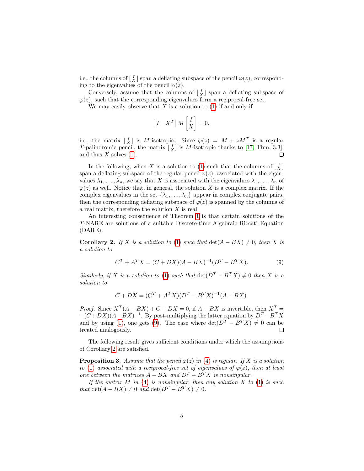i.e., the columns of  $\lfloor \frac{I}{X} \rfloor$  span a deflating subspace of the pencil  $\varphi(z)$ , corresponding to the eigenvalues of the pencil  $\alpha(z)$ .

Conversely, assume that the columns of  $\begin{bmatrix} I \\ X \end{bmatrix}$  span a deflating subspace of  $\varphi(z)$ , such that the corresponding eigenvalues form a reciprocal-free set.

We may easily observe that X is a solution to  $(1)$  if and only if

$$
\begin{bmatrix} I & X^T \end{bmatrix} M \begin{bmatrix} I \\ X \end{bmatrix} = 0,
$$

i.e., the matrix  $\begin{bmatrix} I \\ X \end{bmatrix}$  is M-isotropic. Since  $\varphi(z) = M + zM^T$  is a regular T-palindromic pencil, the matrix  $\begin{bmatrix} I \\ X \end{bmatrix}$  is M-isotropic thanks to [\[17,](#page-22-3) Thm. 3.3], and thus  $X$  solves [\(1\)](#page-0-0).

In the following, when X is a solution to [\(1\)](#page-0-0) such that the columns of  $\begin{bmatrix} I \\ X \end{bmatrix}$ span a deflating subspace of the regular pencil  $\varphi(z)$ , associated with the eigenvalues  $\lambda_1, \ldots, \lambda_n$ , we say that X is associated with the eigenvalues  $\lambda_1, \ldots, \lambda_n$  of  $\varphi(z)$  as well. Notice that, in general, the solution X is a complex matrix. If the complex eigenvalues in the set  $\{\lambda_1, \ldots, \lambda_n\}$  appear in complex conjugate pairs, then the corresponding deflating subspace of  $\varphi(z)$  is spanned by the columns of a real matrix, therefore the solution  $X$  is real.

An interesting consequence of Theorem [1](#page-3-0) is that certain solutions of the T-NARE are solutions of a suitable Discrete-time Algebraic Riccati Equation (DARE).

<span id="page-4-1"></span>**Corollary 2.** If X is a solution to [\(1\)](#page-0-0) such that  $\det(A - BX) \neq 0$ , then X is a solution to

<span id="page-4-0"></span>
$$
C^{T} + A^{T} X = (C + DX)(A - BX)^{-1} (D^{T} - B^{T} X).
$$
\n(9)

Similarly, if X is a solution to [\(1\)](#page-0-0) such that  $\det(D^T - B^T X) \neq 0$  then X is a solution to

$$
C + DX = (C^{T} + A^{T}X)(D^{T} - B^{T}X)^{-1}(A - BX).
$$

*Proof.* Since  $X^T(A - BX) + C + DX = 0$ , if  $A - BX$  is invertible, then  $X^T =$  $-(C+DX)(A-BX)^{-1}$ . By post-multiplying the latter equation by  $D^T - B^T X$ and by using [\(1\)](#page-0-0), one gets [\(9\)](#page-4-0). The case where  $\det(D^T - B^T X) \neq 0$  can be treated analogously.  $\Box$ 

The following result gives sufficient conditions under which the assumptions of Corollary [2](#page-4-1) are satisfied.

**Proposition 3.** Assume that the pencil  $\varphi(z)$  in [\(4\)](#page-3-2) is regular. If X is a solution to [\(1\)](#page-0-0) associated with a reciprocal-free set of eigenvalues of  $\varphi(z)$ , then at least one between the matrices  $A - BX$  and  $D^T - B^T X$  is nonsingular.

If the matrix  $M$  in [\(4\)](#page-3-2) is nonsingular, then any solution  $X$  to [\(1\)](#page-0-0) is such that  $\det(A - BX) \neq 0$  and  $\det(D^T - B^TX) \neq 0$ .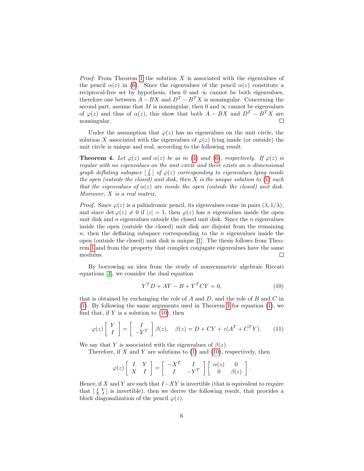*Proof.* From Theorem [1](#page-3-0) the solution X is associated with the eigenvalues of the pencil  $\alpha(z)$  in [\(6\)](#page-3-5). Since the eigenvalues of the pencil  $\alpha(z)$  constitute a reciprocal-free set by hypothesis, then 0 and  $\infty$  cannot be both eigenvalues, therefore one between  $A - BX$  and  $D^T - B^T X$  is nonsingular. Concerning the second part, assume that M is nonsingular, then 0 and  $\infty$  cannot be eigenvalues of  $\varphi(z)$  and thus of  $\alpha(z)$ , this show that both  $A - BX$  and  $D^T - B^T X$  are nonsingular.

Under the assumption that  $\varphi(z)$  has no eigenvalues on the unit circle, the solution X associated with the eigenvalues of  $\varphi(z)$  lying inside (or outside) the unit circle is unique and real, according to the following result.

<span id="page-5-2"></span>**Theorem 4.** Let  $\varphi(z)$  and  $\alpha(z)$  be as in [\(4\)](#page-3-2) and [\(6\)](#page-3-5), respectively. If  $\varphi(z)$  is regular with no eigenvalues on the unit circle and there exists an n-dimensional graph deflating subspace  $\left[\frac{I}{X}\right]$  of  $\varphi(z)$  corresponding to eigenvalues lying inside the open (outside the closed) unit disk, then  $X$  is the unique solution to  $(1)$  such that the eigenvalues of  $\alpha(z)$  are inside the open (outside the closed) unit disk. Moreover, X is a real matrix.

*Proof.* Since  $\varphi(z)$  is a palindromic pencil, its eigenvalues come in pairs  $(\lambda, 1/\lambda)$ , and since det  $\varphi(z) \neq 0$  if  $|z| = 1$ , then  $\varphi(z)$  has n eigenvalues inside the open unit disk and  $n$  eigenvalues outside the closed unit disk. Since the  $n$  eigenvalues inside the open (outside the closed) unit disk are disjoint from the remaining  $n$ , then the deflating subspace corresponding to the n eigenvalues inside the open (outside the closed) unit disk is unique [\[1\]](#page-21-8). The thesis follows from Theorem [1](#page-3-0) and from the property that complex conjugate eigenvalues have the same modulus.  $\Box$ 

By borrowing an idea from the study of nonsymmetric algebraic Riccati equations [\[3\]](#page-21-2), we consider the dual equation

<span id="page-5-0"></span>
$$
Y^T D + A Y - B + Y^T C Y = 0,\t(10)
$$

that is obtained by exchanging the role of  $A$  and  $D$ , and the role of  $B$  and  $C$  in [\(1\)](#page-0-0). By following the same arguments used in Theorem [1](#page-3-0) for equation [\(1\)](#page-0-0), we find that, if  $Y$  is a solution to  $(10)$ , then

<span id="page-5-1"></span>
$$
\varphi(z) \left[ \begin{array}{c} Y \\ I \end{array} \right] = \left[ \begin{array}{c} I \\ -Y^T \end{array} \right] \beta(z), \quad \beta(z) = D + CY + z(A^T + C^T Y). \tag{11}
$$

We say that Y is associated with the eigenvalues of  $\beta(z)$ .

Therefore, if  $X$  and  $Y$  are solutions to  $(1)$  and  $(10)$ , respectively, then

$$
\varphi(z)\left[\begin{array}{cc} I & Y \\ X & I \end{array}\right] = \left[\begin{array}{cc} -X^T & I \\ I & -Y^T \end{array}\right] \left[\begin{array}{cc} \alpha(z) & 0 \\ 0 & \beta(z) \end{array}\right].
$$

Hence, if X and Y are such that  $I-XY$  is invertible (that is equivalent to require that  $\begin{bmatrix} I & Y \\ X & I \end{bmatrix}$  is invertible), then we derive the following result, that provides a block diagonalization of the pencil  $\varphi(z)$ .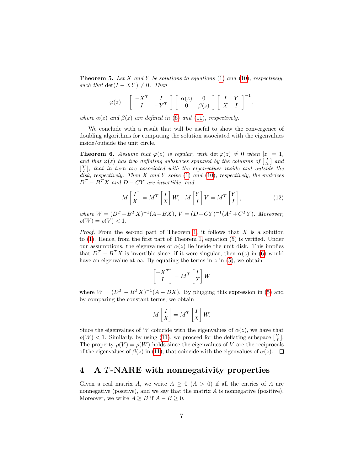**Theorem 5.** Let X and Y be solutions to equations [\(1\)](#page-0-0) and [\(10\)](#page-5-0), respectively, such that  $\det(I - XY) \neq 0$ . Then

$$
\varphi(z) = \begin{bmatrix} -X^T & I \\ I & -Y^T \end{bmatrix} \begin{bmatrix} \alpha(z) & 0 \\ 0 & \beta(z) \end{bmatrix} \begin{bmatrix} I & Y \\ X & I \end{bmatrix}^{-1},
$$

where  $\alpha(z)$  and  $\beta(z)$  are defined in [\(6\)](#page-3-5) and [\(11\)](#page-5-1), respectively.

We conclude with a result that will be useful to show the convergence of doubling algorithms for computing the solution associated with the eigenvalues inside/outside the unit circle.

<span id="page-6-2"></span>**Theorem 6.** Assume that  $\varphi(z)$  is regular, with  $\det \varphi(z) \neq 0$  when  $|z| = 1$ , and that  $\varphi(z)$  has two deflating subspaces spanned by the columns of  $\begin{bmatrix} I \\ X \end{bmatrix}$  and  $\begin{bmatrix} Y \ Y \end{bmatrix}$ , that in turn are associated with the eigenvalues inside and outside the disk, respectively. Then  $X$  and  $Y$  solve  $(1)$  and  $(10)$ , respectively, the matrices  $D<sup>T</sup> - B<sup>T</sup>X$  and  $D - CY$  are invertible, and

<span id="page-6-1"></span>
$$
M\begin{bmatrix} I \\ X \end{bmatrix} = M^T \begin{bmatrix} I \\ X \end{bmatrix} W, \quad M \begin{bmatrix} Y \\ I \end{bmatrix} V = M^T \begin{bmatrix} Y \\ I \end{bmatrix}, \tag{12}
$$

where  $W = (D^T - B^T X)^{-1} (A - BX), V = (D + CY)^{-1} (A^T + C^T Y)$ . Moreover,  $\rho(W) = \rho(V) < 1.$ 

*Proof.* From the second part of Theorem [1,](#page-3-0) it follows that  $X$  is a solution to [\(1\)](#page-0-0). Hence, from the first part of Theorem [1,](#page-3-0) equation [\(5\)](#page-3-6) is verified. Under our assumptions, the eigenvalues of  $\alpha(z)$  lie inside the unit disk. This implies that  $D^T - B^T X$  is invertible since, if it were singular, then  $\alpha(z)$  in [\(6\)](#page-3-5) would have an eigenvalue at  $\infty$ . By equating the terms in z in [\(5\)](#page-3-6), we obtain

$$
\begin{bmatrix} -X^T \\ I \end{bmatrix} = M^T \begin{bmatrix} I \\ X \end{bmatrix} W
$$

where  $W = (D^T - B^T X)^{-1} (A - BX)$ . By plugging this expression in [\(5\)](#page-3-6) and by comparing the constant terms, we obtain

$$
M\begin{bmatrix} I \\ X \end{bmatrix} = M^T \begin{bmatrix} I \\ X \end{bmatrix} W.
$$

Since the eigenvalues of W coincide with the eigenvalues of  $\alpha(z)$ , we have that  $\rho(W) < 1$ . Similarly, by using [\(11\)](#page-5-1), we proceed for the deflating subspace  $\begin{bmatrix} Y \\ I \end{bmatrix}$ . The property  $\rho(V) = \rho(W)$  holds since the eigenvalues of V are the reciprocals of the eigenvalues of  $\beta(z)$  in [\(11\)](#page-5-1), that coincide with the eigenvalues of  $\alpha(z)$ .  $\Box$ 

# <span id="page-6-0"></span>4 A T-NARE with nonnegativity properties

Given a real matrix A, we write  $A \geq 0$   $(A > 0)$  if all the entries of A are nonnegative (positive), and we say that the matrix  $A$  is nonnegative (positive). Moreover, we write  $A \geq B$  if  $A - B \geq 0$ .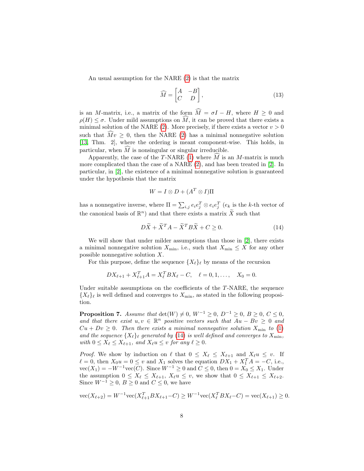An usual assumption for the NARE [\(2\)](#page-1-0) is that the matrix

<span id="page-7-1"></span>
$$
\widehat{M} = \begin{bmatrix} A & -B \\ C & D \end{bmatrix},\tag{13}
$$

is an M-matrix, i.e., a matrix of the form  $\widehat{M} = \sigma I - H$ , where  $H \geq 0$  and  $\rho(H) \leq \sigma$ . Under mild assumptions on  $\widehat{M}$ , it can be proved that there exists a minimal solution of the NARE [\(2\)](#page-1-0). More precisely, if there exists a vector  $v > 0$ such that  $Mv \geq 0$ , then the NARE [\(2\)](#page-1-0) has a minimal nonnegative solution [\[13,](#page-22-4) Thm. 2], where the ordering is meant component-wise. This holds, in particular, when  $\widehat{M}$  is nonsingular or singular irreducible.

Apparently, the case of the T-NARE [\(1\)](#page-0-0) where  $\widehat{M}$  is an M-matrix is much more complicated than the case of a NARE [\(2\)](#page-1-0), and has been treated in [\[2\]](#page-21-0). In particular, in [\[2\]](#page-21-0), the existence of a minimal nonnegative solution is guaranteed under the hypothesis that the matrix

$$
W = I \otimes D + (A^T \otimes I)\Pi
$$

has a nonnegative inverse, where  $\Pi = \sum_{i,j} e_i e_j^T \otimes e_i e_j^T$  ( $e_k$  is the k-th vector of the canonical basis of  $\mathbb{R}^n$ ) and that there exists a matrix  $\widetilde{X}$  such that

<span id="page-7-0"></span>
$$
D\widetilde{X} + \widetilde{X}^T A - \widetilde{X}^T B \widetilde{X} + C \ge 0.
$$
 (14)

We will show that under milder assumptions than those in [\[2\]](#page-21-0), there exists a minimal nonnegative solution  $X_{\min}$ , i.e., such that  $X_{\min} \leq X$  for any other possible nonnegative solution  $X$ .

For this purpose, define the sequence  $\{X_{\ell}\}_{\ell}$  by means of the recursion

$$
DX_{\ell+1} + X_{\ell+1}^T A = X_{\ell}^T BX_{\ell} - C, \quad \ell = 0, 1, ..., \quad X_0 = 0.
$$

Under suitable assumptions on the coefficients of the T-NARE, the sequence  ${X_{\ell}}_\ell$  is well defined and converges to  $X_{\min}$ , as stated in the following proposition.

**Proposition 7.** Assume that  $det(W) \neq 0$ ,  $W^{-1} \geq 0$ ,  $D^{-1} \geq 0$ ,  $B \geq 0$ ,  $C \leq 0$ , and that there exist  $u, v \in \mathbb{R}^n$  positive vectors such that  $Au - Bv \geq 0$  and  $Cu + Dv \geq 0$ . Then there exists a minimal nonnegative solution  $X_{\min}$  to [\(1\)](#page-0-0) and the sequence  $\{X_{\ell}\}_{\ell}$  generated by [\(14\)](#page-7-0) is well defined and converges to  $X_{\min}$ , with  $0 \le X_\ell \le X_{\ell+1}$ , and  $X_\ell u \le v$  for any  $\ell \ge 0$ .

*Proof.* We show by induction on  $\ell$  that  $0 \leq X_{\ell} \leq X_{\ell+1}$  and  $X_{\ell}u \leq v$ . If  $\ell = 0$ , then  $X_0u = 0 \le v$  and  $X_1$  solves the equation  $DX_1 + X_1^T A = -C$ , i.e.,  $vec(X_1) = -W^{-1}vec(C)$ . Since  $W^{-1} \ge 0$  and  $C \le 0$ , then  $0 = X_0 \le X_1$ . Under the assumption  $0 \le X_\ell \le X_{\ell+1}$ ,  $X_\ell u \le v$ , we show that  $0 \le X_{\ell+1} \le X_{\ell+2}$ . Since  $W^{-1} \geq 0$ ,  $B \geq 0$  and  $C \leq 0$ , we have

$$
\text{vec}(X_{\ell+2}) = W^{-1}\text{vec}(X_{\ell+1}^T BX_{\ell+1} - C) \ge W^{-1}\text{vec}(X_{\ell}^T BX_{\ell} - C) = \text{vec}(X_{\ell+1}) \ge 0.
$$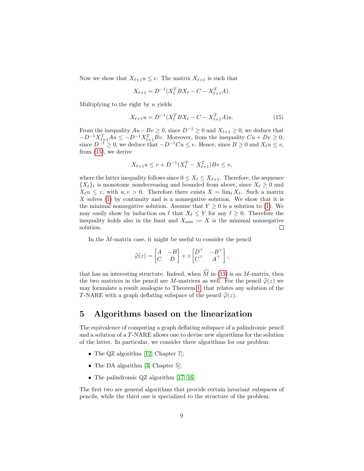Now we show that  $X_{\ell+1}u \leq v$ . The matrix  $X_{\ell+1}$  is such that

$$
X_{\ell+1} = D^{-1}(X_{\ell}^T BX_{\ell} - C - X_{\ell+1}^T A).
$$

Multiplying to the right by  $u$  yields

<span id="page-8-1"></span>
$$
X_{\ell+1}u = D^{-1}(X_{\ell}^T BX_{\ell} - C - X_{\ell+1}^T A)u.
$$
\n(15)

From the inequality  $Au - Bv \ge 0$ , since  $D^{-1} \ge 0$  and  $X_{\ell+1} \ge 0$ , we deduce that  $-D^{-1}X_{\ell+1}^T Au \leq -D^{-1}X_{\ell+1}^T Bv.$  Moreover, from the inequality  $Cu + Dv \geq 0$ , since  $D^{-1}$  ≥ 0, we deduce that  $-D^{-1}Cu \le v$ . Hence, since  $B \ge 0$  and  $X_\ell u \le v$ , from [\(15\)](#page-8-1), we derive

$$
X_{\ell+1}u \le v + D^{-1}(X_{\ell}^T - X_{\ell+1}^T)Bv \le v,
$$

where the latter inequality follows since  $0 \le X_\ell \le X_{\ell+1}$ . Therefore, the sequence  ${X_{\ell}}_\ell$  is monotonic nondecreasing and bounded from above, since  $X_{\ell} \geq 0$  and  $X_{\ell}u \leq v$ , with  $u, v > 0$ . Therefore there exists  $X = \lim_{\ell} X_{\ell}$ . Such a matrix  $X$  solves [\(1\)](#page-0-0) by continuity and is a nonnegative solution. We show that it is the minimal nonnegative solution. Assume that  $Y \geq 0$  is a solution to [\(1\)](#page-0-0). We may easily show by induction on  $\ell$  that  $X_{\ell} \leq Y$  for any  $\ell \geq 0$ . Therefore the inequality holds also in the limit and  $X_{\min} := X$  is the minimal nonnegative solution.  $\Box$ 

In the M-matrix case, it might be useful to consider the pencil

$$
\widehat{\varphi}(z) = \begin{bmatrix} A & -B \\ C & D \end{bmatrix} + z \begin{bmatrix} D^{\top} & -B^{\top} \\ C^{\top} & A^{\top} \end{bmatrix},
$$

that has an interesting structure. Indeed, when  $\widehat{M}$  in [\(13\)](#page-7-1) is an M-matrix, then the two matrices in the pencil are M-matrices as well. For the pencil  $\hat{\varphi}(z)$  we may formulate a result analogue to Theorem [1,](#page-3-0) that relates any solution of the T-NARE with a graph deflating subspace of the pencil  $\hat{\varphi}(z)$ .

# <span id="page-8-0"></span>5 Algorithms based on the linearization

The equivalence of computing a graph deflating subspace of a palindromic pencil and a solution of a T-NARE allows one to devise new algorithms for the solution of the latter. In particular, we consider three algorithms for our problem:

- The QZ algorithm [\[12,](#page-22-5) Chapter 7];
- The DA algorithm [\[3,](#page-21-2) Chapter 5];
- The palindromic QZ algorithm [\[17,](#page-22-3) [16\]](#page-22-6).

The first two are general algorithms that provide certain invariant subspaces of pencils, while the third one is specialized to the structure of the problem.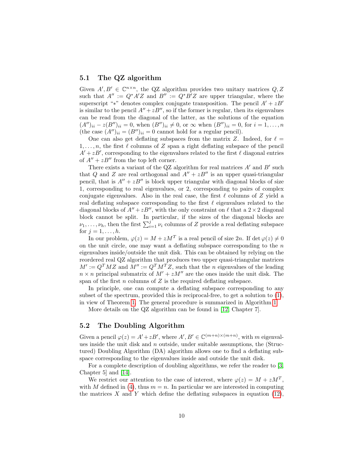#### 5.1 The QZ algorithm

Given  $A', B' \in \mathbb{C}^{n \times n}$ , the QZ algorithm provides two unitary matrices  $Q, Z$ such that  $A'' := Q^*A'Z$  and  $B'' := Q^*B'Z$  are upper triangular, where the superscript "\*" denotes complex conjugate transposition. The pencil  $A' + zB'$ is similar to the pencil  $A'' + zB''$ , so if the former is regular, then its eigenvalues can be read from the diagonal of the latter, as the solutions of the equation  $(A'')_{ii} - z(B'')_{ii} = 0$ , when  $(B'')_{ii} \neq 0$ , or  $\infty$  when  $(B'')_{ii} = 0$ , for  $i = 1, ..., n$ (the case  $(A'')_{ii} = (B'')_{ii} = 0$  cannot hold for a regular pencil).

One can also get deflating subspaces from the matrix Z. Indeed, for  $\ell =$  $1, \ldots, n$ , the first  $\ell$  columns of Z span a right deflating subspace of the pencil  $A' + zB'$ , corresponding to the eigenvalues related to the first  $\ell$  diagonal entries of  $A'' + zB''$  from the top left corner.

There exists a variant of the QZ algorithm for real matrices  $A'$  and  $B'$  such that Q and Z are real orthogonal and  $A'' + zB''$  is an upper quasi-triangular pencil, that is  $A'' + zB''$  is block upper triangular with diagonal blocks of size 1, corresponding to real eigenvalues, or 2, corresponding to pairs of complex conjugate eigenvalues. Also in the real case, the first  $\ell$  columns of Z yield a real deflating subspace corresponding to the first  $\ell$  eigenvalues related to the diagonal blocks of  $A'' + zB''$ , with the only constraint on  $\ell$  that a  $2 \times 2$  diagonal block cannot be split. In particular, if the sizes of the diagonal blocks are  $\nu_1, \ldots, \nu_h$ , then the first  $\sum_{i=1}^j \nu_i$  columns of Z provide a real deflating subspace for  $j = 1, \ldots, h$ .

In our problem,  $\varphi(z) = M + zM^T$  is a real pencil of size  $2n$ . If  $\det \varphi(z) \neq 0$ on the unit circle, one may want a deflating subspace corresponding to the  $n$ eigenvalues inside/outside the unit disk. This can be obtained by relying on the reordered real QZ algorithm that produces two upper quasi-triangular matrices  $M' := Q^T M Z$  and  $M'' := Q^T M^T Z$ , such that the n eigenvalues of the leading  $n \times n$  principal submatrix of  $M' + zM''$  are the ones inside the unit disk. The span of the first  $n$  columns of  $Z$  is the required deflating subspace.

In principle, one can compute a deflating subspace corresponding to any subset of the spectrum, provided this is reciprocal-free, to get a solution to [\(1\)](#page-0-0), in view of Theorem [1.](#page-3-0) The general procedure is summarized in Algorithm [1.](#page-10-0)

More details on the QZ algorithm can be found in [\[12,](#page-22-5) Chapter 7].

#### 5.2 The Doubling Algorithm

Given a pencil  $\varphi(z) = A' + zB'$ , where  $A', B' \in \mathbb{C}^{(m+n)\times(m+n)}$ , with m eigenvalues inside the unit disk and  $n$  outside, under suitable assumptions, the (Structured) Doubling Algorithm (DA) algorithm allows one to find a deflating subspace corresponding to the eigenvalues inside and outside the unit disk.

For a complete description of doubling algorithms, we refer the reader to [\[3,](#page-21-2) Chapter 5] and [\[14\]](#page-22-7).

We restrict our attention to the case of interest, where  $\varphi(z) = M + zM^T$ , with M defined in [\(4\)](#page-3-2), thus  $m = n$ . In particular we are interested in computing the matrices X and Y which define the deflating subspaces in equation  $(12)$ ,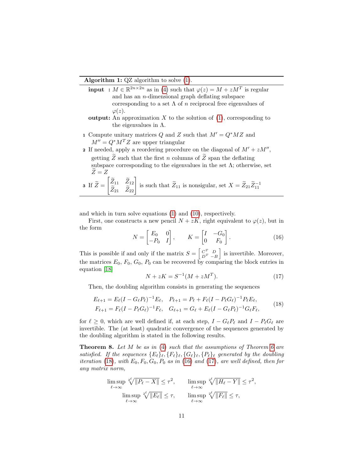#### Algorithm 1: QZ algorithm to solve [\(1\)](#page-0-0).

- **input** :  $M \in \mathbb{R}^{2n \times 2n}$  as in [\(4\)](#page-3-2) such that  $\varphi(z) = M + zM^{T}$  is regular and has an  $n$ -dimensional graph deflating subspace corresponding to a set  $\Lambda$  of n reciprocal free eigenvalues of  $\varphi(z)$ .
- output: An approximation  $X$  to the solution of  $(1)$ , corresponding to the eigenvalues in  $\Lambda$ .
- 1 Compute unitary matrices Q and Z such that  $M' = Q^*MZ$  and  $M'' = Q^*M^TZ$  are upper triangular
- 2 If needed, apply a reordering procedure on the diagonal of  $M' + zM''$ , getting  $\widetilde{Z}$  such that the first n columns of  $\widetilde{Z}$  span the deflating subspace corresponding to the eigenvalues in the set  $\Lambda$ ; otherwise, set  $\widetilde{Z}=Z$  $\Gamma \simeq$

<span id="page-10-0"></span>**3** If 
$$
\widetilde{Z} = \begin{bmatrix} \widetilde{Z}_{11} & \widetilde{Z}_{12} \\ \widetilde{Z}_{21} & \widetilde{Z}_{22} \end{bmatrix}
$$
 is such that  $\widetilde{Z}_{11}$  is nonsigular, set  $X = \widetilde{Z}_{21} \widetilde{Z}_{11}^{-1}$ 

and which in turn solve equations [\(1\)](#page-0-0) and [\(10\)](#page-5-0), respectively.

First, one constructs a new pencil  $N + zK$ , right equivalent to  $\varphi(z)$ , but in the form

<span id="page-10-2"></span>
$$
N = \begin{bmatrix} E_0 & 0 \\ -P_0 & I \end{bmatrix}, \qquad K = \begin{bmatrix} I & -G_0 \\ 0 & F_0 \end{bmatrix}.
$$
 (16)

This is possible if and only if the matrix  $S = \begin{bmatrix} C^T & D \\ D^T & -B \end{bmatrix}$  is invertible. Moreover, the matrices  $E_0$ ,  $F_0$ ,  $G_0$ ,  $P_0$  can be recovered by comparing the block entries in equation [\[18\]](#page-22-8)

<span id="page-10-3"></span>
$$
N + zK = S^{-1}(M + zM^{T}).
$$
\n(17)

Then, the doubling algorithm consists in generating the sequences

<span id="page-10-1"></span>
$$
E_{\ell+1} = E_{\ell}(I - G_{\ell}P_{\ell})^{-1}E_{\ell}, \quad P_{\ell+1} = P_{\ell} + F_{\ell}(I - P_{\ell}G_{\ell})^{-1}P_{\ell}E_{\ell},
$$
  
\n
$$
F_{\ell+1} = F_{\ell}(I - P_{\ell}G_{\ell})^{-1}F_{\ell}, \quad G_{\ell+1} = G_{\ell} + E_{\ell}(I - G_{\ell}P_{\ell})^{-1}G_{\ell}F_{\ell},
$$
\n(18)

for  $\ell \geq 0$ , which are well defined if, at each step,  $I - G_{\ell}P_{\ell}$  and  $I - P_{\ell}G_{\ell}$  are invertible. The (at least) quadratic convergence of the sequences generated by the doubling algorithm is stated in the following results.

**Theorem 8.** Let  $M$  be as in [\(4\)](#page-3-2) such that the assumptions of Theorem [6](#page-6-2) are satisfied. If the sequences  ${E_{\ell}}_{{\ell}}$ ,  ${F_{\ell}}_{{\ell}}$ ,  ${G_{\ell}}_{{\ell}}$ ,  ${P_{\ell}}}_{{\ell}}$  generated by the doubling iteration [\(18\)](#page-10-1), with  $E_0$ ,  $F_0$ ,  $G_0$ ,  $P_0$  as in [\(16\)](#page-10-2) and [\(17\)](#page-10-3), are well defined, then for any matrix norm,

$$
\limsup_{\ell \to \infty} \sqrt[2^{\ell}]{\|P_{\ell} - X\|} \leq \tau^{2}, \qquad \limsup_{\ell \to \infty} \sqrt[2^{\ell}]{\|H_{\ell} - Y\|} \leq \tau^{2},
$$

$$
\limsup_{\ell \to \infty} \sqrt[2^{\ell}]{\|E_{\ell}\|} \leq \tau, \qquad \limsup_{\ell \to \infty} \sqrt[2^{\ell}]{\|F_{\ell}\|} \leq \tau,
$$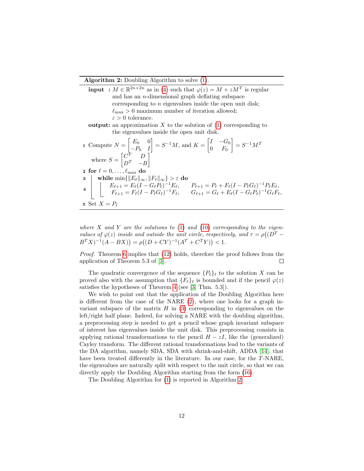#### Algorithm 2: Doubling Algorithm to solve [\(1\)](#page-0-0).

**input** :  $M \in \mathbb{R}^{2n \times 2n}$  as in [\(4\)](#page-3-2) such that  $\varphi(z) = M + zM^{T}$  is regular and has an n-dimensional graph deflating subspace corresponding to  $n$  eigenvalues inside the open unit disk;  $\ell_{\text{max}} > 0$  maximum number of iteration allowed;  $\varepsilon > 0$  tolerance. **output:** an approximation X to the solution of  $(1)$  corresponding to the eigenvalues inside the open unit disk. 1 Compute  $N = \begin{bmatrix} E_0 & 0 \\ D & I \end{bmatrix}$  $-P_0$  I  $\begin{bmatrix} \end{bmatrix} = S^{-1}M$ , and  $K = \begin{bmatrix} I & -G_0 \\ 0 & F \end{bmatrix}$  $0$   $F_0$  $\Big] = S^{-1}M^T$ where  $S = \begin{bmatrix} C^T & D \\ D^T & I \end{bmatrix}$  $D^T$  – B 1 2 for  $\ell = 0, \ldots, \ell_{\max}$ do  $\begin{array}{ll} \mathbf{3} & \quad \mathbf{while} \ \min\{\|E_\ell\|_\infty, \|F_\ell\|_\infty\} > \varepsilon \ \mathbf{do} \end{array}$ 4  $E_{\ell+1} = E_{\ell} (I - G_{\ell} P_{\ell})^{-1} E_{\ell}, \qquad P_{\ell+1} = P_{\ell} + F_{\ell} (I - P_{\ell} G_{\ell})^{-1} P_{\ell} E_{\ell},$  $F_{\ell+1} = F_{\ell}(I - P_{\ell}G_{\ell})^{-1}F_{\ell}, \qquad G_{\ell+1} = G_{\ell} + E_{\ell}(I - G_{\ell}P_{\ell})^{-1}G_{\ell}F_{\ell},$ 

<span id="page-11-0"></span>
$$
5 \ \text{Set} \ X = P_{\ell}
$$

where X and Y are the solutions to [\(1\)](#page-0-0) and [\(10\)](#page-5-0) corresponding to the eigenvalues of  $\varphi(z)$  inside and outside the unit circle, respectively, and  $\tau = \rho((D^T B^T X$ )<sup>-1</sup>(A – BX)) =  $\rho((D+CY)^{-1}(A^T+C^T Y))$  < 1.

Proof. Theorem [6](#page-6-2) implies that [\(12\)](#page-6-1) holds, therefore the proof follows from the application of Theorem 5.3 of [\[3\]](#page-21-2).  $\Box$ 

The quadratic convergence of the sequence  ${P_{\ell}}_t$  to the solution X can be proved also with the assumption that  ${F_\ell}_\ell$  is bounded and if the pencil  $\varphi(z)$ satisfies the hypotheses of Theorem [4](#page-5-2) (see [\[3,](#page-21-2) Thm. 5.3]).

We wish to point out that the application of the Doubling Algorithm here is different from the case of the NARE [\(2\)](#page-1-0), where one looks for a graph invariant subspace of the matrix  $H$  in [\(3\)](#page-1-1) corresponding to eigenvalues on the left/right half plane. Indeed, for solving a NARE with the doubling algorithm, a preprocessing step is needed to get a pencil whose graph invariant subspace of interest has eigenvalues inside the unit disk. This preprocessing consists in applying rational transformations to the pencil  $H - zI$ , like the (generalized) Cayley transform. The different rational transformations lead to the variants of the DA algorithm, namely SDA, SDA with shrink-and-shift, ADDA [\[14\]](#page-22-7), that have been treated differently in the literature. In our case, for the T-NARE, the eigenvalues are naturally split with respect to the unit circle, so that we can directly apply the Doubling Algorithm starting from the form [\(16\)](#page-10-2).

The Doubling Algorithm for [\(1\)](#page-0-0) is reported in Algorithm [2.](#page-11-0)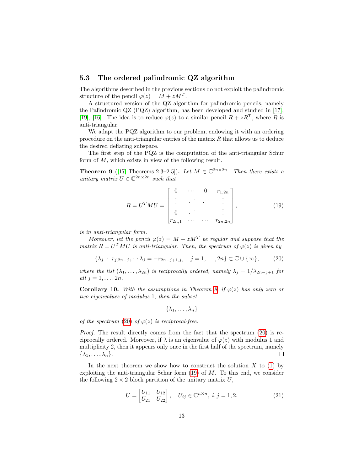#### <span id="page-12-5"></span>5.3 The ordered palindromic QZ algorithm

The algorithms described in the previous sections do not exploit the palindromic structure of the pencil  $\varphi(z) = M + zM^{T}$ .

A structured version of the QZ algorithm for palindromic pencils, namely the Palindromic QZ (PQZ) algorithm, has been developed and studied in [\[17\]](#page-22-3), [\[19\]](#page-22-9), [\[16\]](#page-22-6). The idea is to reduce  $\varphi(z)$  to a similar pencil  $R + zR^T$ , where R is anti-triangular.

We adapt the PQZ algorithm to our problem, endowing it with an ordering procedure on the anti-triangular entries of the matrix  $R$  that allows us to deduce the desired deflating subspace.

The first step of the PQZ is the computation of the anti-triangular Schur form of M, which exists in view of the following result.

<span id="page-12-0"></span>**Theorem 9** ([\[17,](#page-22-3) Theorems 2.3–2.5]). Let  $M \in \mathbb{C}^{2n \times 2n}$ . Then there exists a unitary matrix  $U \in \mathbb{C}^{2n \times 2n}$  such that

<span id="page-12-2"></span>
$$
R = U^{T} M U = \begin{bmatrix} 0 & \cdots & 0 & r_{1,2n} \\ \vdots & \ddots & \ddots & \vdots \\ 0 & \cdots & & \vdots \\ r_{2n,1} & \cdots & \cdots & r_{2n,2n} \end{bmatrix},
$$
(19)

is in anti-triangular form.

Moreover, let the pencil  $\varphi(z) = M + zM^T$  be regular and suppose that the matrix  $R = U<sup>T</sup>MU$  is anti-triangular. Then, the spectrum of  $\varphi(z)$  is given by

<span id="page-12-1"></span>
$$
\{\lambda_j : r_{j,2n-j+1} \cdot \lambda_j = -r_{2n-j+1,j}, \quad j = 1,\dots, 2n\} \subset \mathbb{C} \cup \{\infty\},\tag{20}
$$

where the list  $(\lambda_1, \ldots, \lambda_{2n})$  is reciprocally ordered, namely  $\lambda_j = 1/\lambda_{2n-j+1}$  for all  $j = 1, \ldots, 2n$ .

<span id="page-12-4"></span>**Corollary 10.** With the assumptions in Theorem [9,](#page-12-0) if  $\varphi(z)$  has only zero or two eigenvalues of modulus 1, then the subset

$$
\{\lambda_1,\ldots,\lambda_n\}
$$

of the spectrum [\(20\)](#page-12-1) of  $\varphi(z)$  is reciprocal-free.

Proof. The result directly comes from the fact that the spectrum [\(20\)](#page-12-1) is reciprocally ordered. Moreover, if  $\lambda$  is an eigenvalue of  $\varphi(z)$  with modulus 1 and multiplicity 2, then it appears only once in the first half of the spectrum, namely  $\{\lambda_1, \ldots, \lambda_n\}.$  $\Box$ 

In the next theorem we show how to construct the solution  $X$  to [\(1\)](#page-0-0) by exploiting the anti-triangular Schur form  $(19)$  of  $M$ . To this end, we consider the following  $2 \times 2$  block partition of the unitary matrix U,

<span id="page-12-3"></span>
$$
U = \begin{bmatrix} U_{11} & U_{12} \\ U_{21} & U_{22} \end{bmatrix}, \quad U_{ij} \in \mathbb{C}^{n \times n}, \ i, j = 1, 2. \tag{21}
$$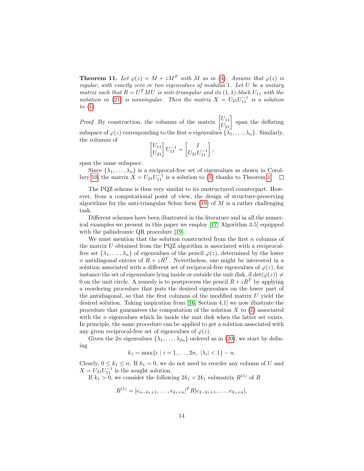**Theorem 11.** Let  $\varphi(z) = M + zM^T$  with M as in [\(4\)](#page-3-2). Assume that  $\varphi(z)$  is regular, with exactly zero or two eigenvalues of modulus 1. Let U be a unitary matrix such that  $R = U^T M U$  is anti-triangular and its  $(1, 1)$ -block  $U_{11}$  with the notation in [\(21\)](#page-12-3) is nonsingular. Then the matrix  $X = U_{21}U_{11}^{-1}$  is a solution to  $(1)$ .

*Proof.* By construction, the columns of the matrix  $\begin{bmatrix} U_{11} \\ U_{21} \end{bmatrix}$  span the deflating subspace of  $\varphi(z)$  corresponding to the first n eigenvalues  $\{\lambda_1, \ldots, \lambda_n\}$ . Similarly, the columns of  $\lceil$ 

$$
\begin{bmatrix} U_{11} \\ U_{21} \end{bmatrix} U_{11}^{-1} = \begin{bmatrix} I \\ U_{21} U_{11}^{-1} \end{bmatrix},
$$

span the same subspace.

Since  $\{\lambda_1, \ldots, \lambda_n\}$  is a reciprocal-free set of eigenvalues as shown in Corol-lary [10,](#page-12-4) the matrix  $X = U_{21}U_{11}^{-1}$  is a solution to [\(1\)](#page-0-0) thanks to Theorem [1.](#page-3-0)  $\Box$ 

The PQZ scheme is thus very similar to its unstructured counterpart. However, from a computational point of view, the design of structure-preserving algorithms for the anti-triangular Schur form  $(19)$  of M is a rather challenging task.

Different schemes have been illustrated in the literature and in all the numerical examples we present in this paper we employ [\[17,](#page-22-3) Algorithm 3.5] equipped with the palindromic QR procedure [\[19\]](#page-22-9).

We must mention that the solution constructed from the first  $n$  columns of the matrix U obtained from the PQZ algorithm is associated with a reciprocalfree set  $\{\lambda_1, \ldots, \lambda_n\}$  of eigenvalues of the pencil  $\varphi(z)$ , determined by the lower *n* antidiagonal entries of  $R + zR^{T}$ . Nevertheless, one might be interested in a solution associated with a different set of reciprocal-free eigenvalues of  $\varphi(z)$ , for instance the set of eigenvalues lying inside or outside the unit disk, if  $\det(\varphi(z)) \neq$ 0 on the unit circle. A remedy is to postprocess the pencil  $R+zR^{T}$  by applying a reordering procedure that puts the desired eigenvalues on the lower part of the antidiagonal, so that the first columns of the modified matrix  $U$  yield the desired solution. Taking inspiration from [\[16,](#page-22-6) Section 4.1] we now illustrate the procedure that guarantees the computation of the solution  $X$  to  $(1)$  associated with the *n* eigenvalues which lie inside the unit disk when the latter set exists. In principle, the same procedure can be applied to get a solution associated with any given reciprocal-free set of eigenvalues of  $\varphi(z)$ .

Given the 2n eigenvalues  $\{\lambda_1, \ldots, \lambda_{2n}\}$  ordered as in [\(20\)](#page-12-1), we start by defining

 $k_1 = \max\{i \mid i = 1, \ldots, 2n, \ |\lambda_i| < 1\} - n.$ 

Clearly,  $0 \leq k_1 \leq n$ . If  $k_1 = 0$ , we do not need to reorder any column of U and  $X = U_{21}U_{11}^{-1}$  is the sought solution.

If  $k_1 > 0$ , we consider the following  $2k_1 \times 2k_1$  submatrix  $R^{(1)}$  of R

$$
R^{(1)} = [e_{n-k_1+1}, \ldots, e_{k_1+n}]^T R [e_{2-k_1+1}, \ldots, e_{k_1+n}],
$$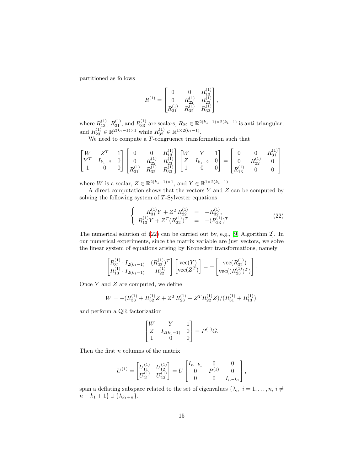partitioned as follows

$$
R^{(1)} = \begin{bmatrix} 0 & 0 & R_{13}^{(1)} \\ 0 & R_{22}^{(1)} & R_{23}^{(1)} \\ R_{31}^{(1)} & R_{32}^{(1)} & R_{33}^{(1)} \end{bmatrix},
$$

where  $R_{13}^{(1)}$ ,  $R_{31}^{(1)}$ , and  $R_{33}^{(1)}$  are scalars,  $R_{22} \in \mathbb{R}^{2(k_1-1)\times 2(k_1-1)}$  is anti-triangular, and  $R_{23}^{(1)} \in \mathbb{R}^{2(k_1-1)\times 1}$  while  $R_{32}^{(1)} \in \mathbb{R}^{1 \times 2(k_1-1)}$ .

We need to compute a T-congruence transformation such that

$$
\begin{bmatrix} W & Z^T & 1 \ Y^T & I_{k_1-2} & 0 \ 1 & 0 & 0 \end{bmatrix} \begin{bmatrix} 0 & 0 & R_{13}^{(1)} \ 0 & R_{22}^{(1)} & R_{23}^{(1)} \ R_{31}^{(1)} & R_{32}^{(1)} & R_{33}^{(1)} \end{bmatrix} \begin{bmatrix} W & Y & 1 \ Z & I_{k_1-2} & 0 \ 1 & 0 & 0 \end{bmatrix} = \begin{bmatrix} 0 & 0 & R_{31}^{(1)} \ 0 & R_{22}^{(1)} & 0 \ R_{13}^{(1)} & 0 & 0 \end{bmatrix},
$$

where W is a scalar,  $Z \in \mathbb{R}^{2(k_1-1)\times 1}$ , and  $Y \in \mathbb{R}^{1\times 2(k_1-1)}$ .

A direct computation shows that the vectors  $Y$  and  $Z$  can be computed by solving the following system of  $T-Sylvester$  equations

<span id="page-14-0"></span>
$$
\begin{cases}\nR_{31}^{(1)}Y + Z^T R_{22}^{(1)} &= -R_{32}^{(1)}, \\
R_{13}^{(1)}Y + Z^T (R_{22}^{(1)})^T &= -(R_{23}^{(1)})^T.\n\end{cases}
$$
\n(22)

The numerical solution of [\(22\)](#page-14-0) can be carried out by, e.g., [\[9,](#page-21-7) Algorithm 2]. In our numerical experiments, since the matrix variable are just vectors, we solve the linear system of equations arising by Kronecker transformations, namely

$$
\begin{bmatrix} R_{31}^{(1)} \cdot I_{2(k_1-1)} & (R_{22}^{(1)})^T \\ R_{13}^{(1)} \cdot I_{2(k_1-1)} & R_{22}^{(1)} \end{bmatrix} \begin{bmatrix} \text{vec}(Y) \\ \text{vec}(Z^T) \end{bmatrix} = - \begin{bmatrix} \text{vec}(R_{32}^{(1)}) \\ \text{vec}((R_{23}^{(1)})^T) \end{bmatrix}.
$$

Once  $Y$  and  $Z$  are computed, we define

$$
W = -(R_{33}^{(1)} + R_{32}^{(1)}Z + Z^T R_{23}^{(1)} + Z^T R_{22}^{(1)}Z) / (R_{31}^{(1)} + R_{13}^{(1)}),
$$

and perform a QR factorization

$$
\begin{bmatrix} W & Y & 1 \ Z & I_{2(k_1-1)} & 0 \ 1 & 0 & 0 \end{bmatrix} = P^{(1)}G.
$$

Then the first n columns of the matrix

$$
U^{(1)} = \begin{bmatrix} U_{11}^{(1)} & U_{12}^{(1)} \\ U_{21}^{(1)} & U_{22}^{(1)} \end{bmatrix} = U \begin{bmatrix} I_{n-k_1} & 0 & 0 \\ 0 & P^{(1)} & 0 \\ 0 & 0 & I_{n-k_1} \end{bmatrix},
$$

span a deflating subspace related to the set of eigenvalues  $\{\lambda_i, i = 1, \ldots, n, i \neq j\}$  $n - k_1 + 1$ }  $\cup \{\lambda_{k_1+n}\}.$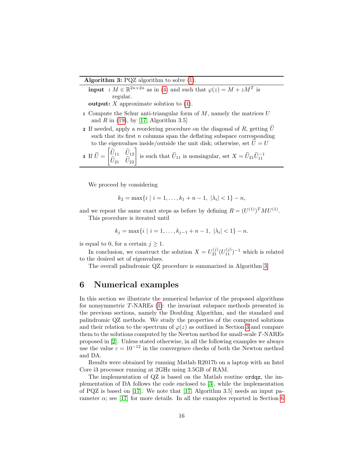Algorithm 3: PQZ algorithm to solve [\(1\)](#page-0-0).

**input** : 
$$
M \in \mathbb{R}^{2n \times 2n}
$$
 as in (4) and such that  $\varphi(z) = M + zM^T$  is regular.

**output:**  $X$  approximate solution to  $(1)$ .

- 1 Compute the Schur anti-triangular form of  $M$ , namely the matrices  $U$ and  $R$  in [\(19\)](#page-12-2), by [\[17,](#page-22-3) Algorithm 3.5]
- 2 If needed, apply a reordering procedure on the diagonal of R, getting  $\tilde{U}$ such that its first  $n$  columns span the deflating subspace corresponding to the eigenvalues inside/outside the unit disk; otherwise, set  $U = U$  $\Gamma \sim$

**3** If 
$$
\widetilde{U} = \begin{bmatrix} \widetilde{U}_{11} & \widetilde{U}_{12} \\ \widetilde{U}_{21} & \widetilde{U}_{22} \end{bmatrix}
$$
 is such that  $\widetilde{U}_{11}$  is nonsingular, set  $X = \widetilde{U}_{21} \widetilde{U}_{11}^{-1}$ 

<span id="page-15-1"></span>We proceed by considering

$$
k_2 = \max\{i \mid i = 1, \dots, k_1 + n - 1, \ |\lambda_i| < 1\} - n,
$$

and we repeat the same exact steps as before by defining  $R = (U^{(1)})^T M U^{(1)}$ . This procedure is iterated until

$$
k_j = \max\{i \mid i = 1, \dots, k_{j-1} + n - 1, \ |\lambda_i| < 1\} - n.
$$

is equal to 0, for a certain  $j \geq 1$ .

In conclusion, we construct the solution  $X = U_{21}^{(j)} (U_{11}^{(j)})^{-1}$  which is related to the desired set of eigenvalues.

The overall palindromic QZ procedure is summarized in Algorithm [3.](#page-15-1)

# <span id="page-15-0"></span>6 Numerical examples

In this section we illustrate the numerical behavior of the proposed algorithms for nonsymmetric T-NAREs [\(1\)](#page-0-0): the invariant subspace methods presented in the previous sections, namely the Doubling Algorithm, and the standard and palindromic QZ methods. We study the properties of the computed solutions and their relation to the spectrum of  $\varphi(z)$  as outlined in Section [3](#page-3-1) and compare them to the solutions computed by the Newton method for small-scale T-NAREs proposed in [\[2\]](#page-21-0). Unless stated otherwise, in all the following examples we always use the value  $\varepsilon = 10^{-12}$  in the convergence checks of both the Newton method and DA.

Results were obtained by running Matlab R2017b on a laptop with an Intel Core i3 processor running at 2GHz using 3.5GB of RAM.

The implementation of QZ is based on the Matlab routine ordqz, the implementation of DA follows the code enclosed to [\[3\]](#page-21-2), while the implementation of PQZ is based on [\[17\]](#page-22-3). We note that [\[17,](#page-22-3) Algorithm 3.5] needs an input parameter  $\alpha$ ; see [\[17\]](#page-22-3) for more details. In all the examples reported in Section [6](#page-15-0)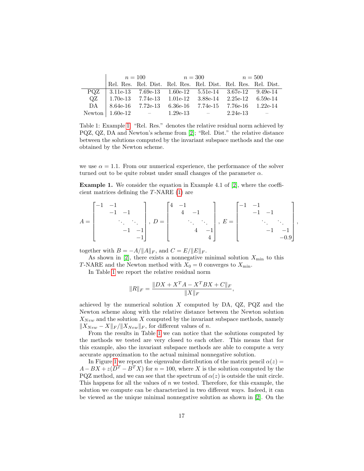|      |  |  | $n = 100$ $n = 300$ $n = 500$ |                                                                |  |  |
|------|--|--|-------------------------------|----------------------------------------------------------------|--|--|
|      |  |  |                               | Rel. Res. Rel. Dist. Rel. Res. Rel. Dist. Rel. Res. Rel. Dist. |  |  |
| POZ. |  |  |                               | $\vert$ 3.11e-13 7.69e-13 1.60e-12 5.51e-14 3.67e-12 9.49e-14  |  |  |
| OZ.  |  |  |                               | $\vert$ 1.70e-13 7.74e-13 1.01e-12 3.88e-14 2.25e-12 6.59e-14  |  |  |
|      |  |  |                               | DA   8.64e-16 7.72e-13 6.36e-16 7.74e-15 7.76e-16 1.22e-14     |  |  |
|      |  |  |                               | Newton   1.60e-12 - 1.29e-13 - 2.24e-13                        |  |  |

<span id="page-16-1"></span>Table 1: Example [1.](#page-16-0) "Rel. Res." denotes the relative residual norm achieved by PQZ, QZ, DA and Newton's scheme from [\[2\]](#page-21-0); "Rel. Dist." the relative distance between the solutions computed by the invariant subspace methods and the one obtained by the Newton scheme.

we use  $\alpha = 1.1$ . From our numerical experience, the performance of the solver turned out to be quite robust under small changes of the parameter  $\alpha$ .

<span id="page-16-0"></span>Example 1. We consider the equation in Example 4.1 of [\[2\]](#page-21-0), where the coefficient matrices defining the T-NARE [\(1\)](#page-0-0) are

$$
A = \begin{bmatrix} -1 & -1 & & & \\ & -1 & -1 & & \\ & & \ddots & \ddots & \\ & & -1 & -1 & \\ & & & -1 \end{bmatrix}, D = \begin{bmatrix} 4 & -1 & & & \\ & 4 & -1 & & \\ & & \ddots & \ddots & \\ & & & 4 & -1 \\ & & & 4 & -1 \\ & & & & 4 \end{bmatrix}, E = \begin{bmatrix} -1 & -1 & & & \\ & -1 & -1 & & \\ & & \ddots & \ddots & \\ & & & -1 & -1 \\ & & & & -0.9 \end{bmatrix}
$$

,

together with  $B = -A/\Vert A \Vert_F$ , and  $C = E/\Vert E \Vert_F$ .

As shown in [\[2\]](#page-21-0), there exists a nonnegative minimal solution  $X_{\min}$  to this T-NARE and the Newton method with  $X_0 = 0$  converges to  $X_{\text{min}}$ .

In Table [1](#page-16-1) we report the relative residual norm

$$
||R||_F = \frac{||DX + X^T A - X^T BX + C||_F}{||X||_F},
$$

achieved by the numerical solution  $X$  computed by DA, QZ, PQZ and the Newton scheme along with the relative distance between the Newton solution  $X_{New}$  and the solution X computed by the invariant subspace methods, namely  $\|X_{New} - X\|_F / \|X_{New}\|_F$ , for different values of n.

From the results in Table [1](#page-16-1) we can notice that the solutions computed by the methods we tested are very closed to each other. This means that for this example, also the invariant subspace methods are able to compute a very accurate approximation to the actual minimal nonnegative solution.

In Figure [1](#page-17-0) we report the eigenvalue distribution of the matrix pencil  $\alpha(z)$  =  $A - BX + z(D^T - B^T X)$  for  $n = 100$ , where X is the solution computed by the PQZ method, and we can see that the spectrum of  $\alpha(z)$  is outside the unit circle. This happens for all the values of  $n$  we tested. Therefore, for this example, the solution we compute can be characterized in two different ways. Indeed, it can be viewed as the unique minimal nonnegative solution as shown in [\[2\]](#page-21-0). On the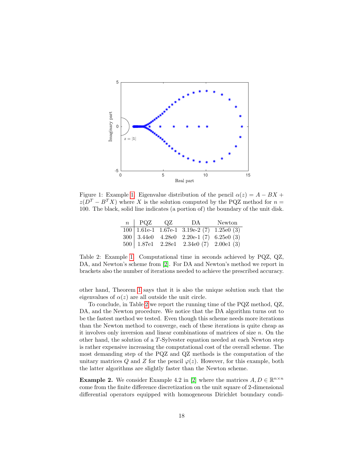

<span id="page-17-0"></span>Figure 1: Example [1.](#page-16-0) Eigenvalue distribution of the pencil  $\alpha(z) = A - BX +$  $z(D^T - B^T X)$  where X is the solution computed by the PQZ method for  $n =$ 100. The black, solid line indicates (a portion of) the boundary of the unit disk.

| $n \perp PQZ$ QZ | DA                                                                       | Newton |
|------------------|--------------------------------------------------------------------------|--------|
|                  | $100 1.61e-1 1.67e-1 3.19e-2 (7) 1.25e0 (3)$                             |        |
|                  | $300 \mid 3.44e0 \quad 4.28e0 \quad 2.20e-1 \tag{7} 6.25e0 \tag{3}$      |        |
|                  | $500 \mid 1.87e1 \quad 2.28e1 \quad 2.34e0 \tag{7} \quad 2.00e1 \tag{3}$ |        |

<span id="page-17-1"></span>Table 2: Example [1.](#page-16-0) Computational time in seconds achieved by PQZ, QZ, DA, and Newton's scheme from [\[2\]](#page-21-0). For DA and Newton's method we report in brackets also the number of iterations needed to achieve the prescribed accuracy.

other hand, Theorem [1](#page-3-0) says that it is also the unique solution such that the eigenvalues of  $\alpha(z)$  are all outside the unit circle.

To conclude, in Table [2](#page-17-1) we report the running time of the PQZ method, QZ, DA, and the Newton procedure. We notice that the DA algorithm turns out to be the fastest method we tested. Even though this scheme needs more iterations than the Newton method to converge, each of these iterations is quite cheap as it involves only inversion and linear combinations of matrices of size  $n$ . On the other hand, the solution of a T-Sylvester equation needed at each Newton step is rather expensive increasing the computational cost of the overall scheme. The most demanding step of the PQZ and QZ methods is the computation of the unitary matrices Q and Z for the pencil  $\varphi(z)$ . However, for this example, both the latter algorithms are slightly faster than the Newton scheme.

<span id="page-17-2"></span>**Example 2.** We consider Example 4.2 in [\[2\]](#page-21-0) where the matrices  $A, D \in \mathbb{R}^{n \times n}$ come from the finite difference discretization on the unit square of 2-dimensional differential operators equipped with homogeneous Dirichlet boundary condi-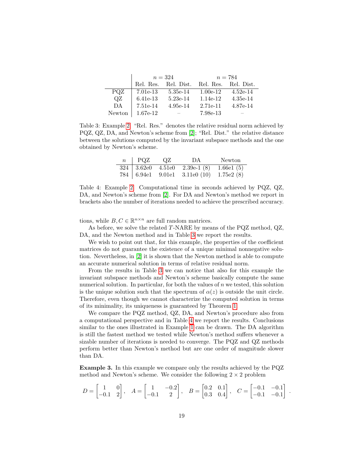|        |            | $n = 324$                | $n = 784$  |            |  |
|--------|------------|--------------------------|------------|------------|--|
|        | Rel. Res.  | Rel. Dist.               | Rel. Res.  | Rel. Dist. |  |
| PQZ    | 7.01e-13   | 5.35e-14                 | $1.00e-12$ | $4.52e-14$ |  |
| QZ     | $6.41e-13$ | $5.23e-14$               | $1.14e-12$ | 4.35e-14   |  |
| DA     | 7.51e-14   | 4.95e-14                 | 2.71e-11   | 4.87e-14   |  |
| Newton | 1.67e-12   | $\overline{\phantom{a}}$ | 7.98e-13   | -          |  |

<span id="page-18-0"></span>Table 3: Example [2.](#page-17-2) "Rel. Res." denotes the relative residual norm achieved by PQZ, QZ, DA, and Newton's scheme from [\[2\]](#page-21-0); "Rel. Dist." the relative distance between the solutions computed by the invariant subspace methods and the one obtained by Newton's scheme.

| $n \mid PQZ$ | QZ | DA                                                                        | Newton |
|--------------|----|---------------------------------------------------------------------------|--------|
|              |    | $324 \mid 3.62e0 \quad 4.51e0 \quad 2.39e-1 \tag{8} 1.66e1 \tag{5}$       |        |
|              |    | $784 \mid 6.94e1 \quad 9.01e1 \quad 3.11e0 \tag{10} \quad 1.75e2 \tag{8}$ |        |

<span id="page-18-1"></span>Table 4: Example [2.](#page-17-2) Computational time in seconds achieved by PQZ, QZ, DA, and Newton's scheme from [\[2\]](#page-21-0). For DA and Newton's method we report in brackets also the number of iterations needed to achieve the prescribed accuracy.

tions, while  $B, C \in \mathbb{R}^{n \times n}$  are full random matrices.

As before, we solve the related T-NARE by means of the PQZ method, QZ, DA, and the Newton method and in Table [3](#page-18-0) we report the results.

We wish to point out that, for this example, the properties of the coefficient matrices do not guarantee the existence of a unique minimal nonnegative solution. Nevertheless, in [\[2\]](#page-21-0) it is shown that the Newton method is able to compute an accurate numerical solution in terms of relative residual norm.

From the results in Table [3](#page-18-0) we can notice that also for this example the invariant subspace methods and Newton's scheme basically compute the same numerical solution. In particular, for both the values of  $n$  we tested, this solution is the unique solution such that the spectrum of  $\alpha(z)$  is outside the unit circle. Therefore, even though we cannot characterize the computed solution in terms of its minimality, its uniqueness is guaranteed by Theorem [1.](#page-3-0)

We compare the PQZ method, QZ, DA, and Newton's procedure also from a computational perspective and in Table [4](#page-18-1) we report the results. Conclusions similar to the ones illustrated in Example [1](#page-16-0) can be drawn. The DA algorithm is still the fastest method we tested while Newton's method suffers whenever a sizable number of iterations is needed to converge. The PQZ and QZ methods perform better than Newton's method but are one order of magnitude slower than DA.

Example 3. In this example we compare only the results achieved by the PQZ method and Newton's scheme. We consider the following  $2 \times 2$  problem

$$
D = \begin{bmatrix} 1 & 0 \\ -0.1 & 2 \end{bmatrix}, \quad A = \begin{bmatrix} 1 & -0.2 \\ -0.1 & 2 \end{bmatrix}, \quad B = \begin{bmatrix} 0.2 & 0.1 \\ 0.3 & 0.4 \end{bmatrix}, \quad C = \begin{bmatrix} -0.1 & -0.1 \\ -0.1 & -0.1 \end{bmatrix}
$$

.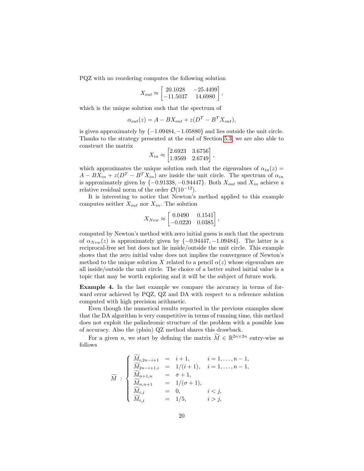PQZ with no reordering computes the following solution

$$
X_{out} \approx \begin{bmatrix} 20.1028 & -25.4499 \\ -11.5037 & 14.6980 \end{bmatrix},
$$

which is the unique solution such that the spectrum of

$$
\alpha_{out}(z) = A - BX_{out} + z(D^T - B^T X_{out}),
$$

is given approximately by  $\{-1.09484, -1.05880\}$  and lies outside the unit circle. Thanks to the strategy presented at the end of Section [5.3,](#page-12-5) we are also able to construct the matrix

$$
X_{in} \approx \begin{bmatrix} 2.6923 & 3.6756 \\ 1.9569 & 2.6749 \end{bmatrix},
$$

which approximates the unique solution such that the eigenvalues of  $\alpha_{in}(z)$  =  $A - BX_{in} + z(D^T - B^T X_{in})$  are inside the unit circle. The spectrum of  $\alpha_{in}$ is approximately given by  $\{-0.91338, -0.94447\}$ . Both  $X_{out}$  and  $X_{in}$  achieve a relative residual norm of the order  $\mathcal{O}(10^{-12})$ .

It is interesting to notice that Newton's method applied to this example computes neither  $X_{out}$  nor  $X_{in}$ . The solution

$$
X_{New} \approx \begin{bmatrix} 0.0490 & 0.1541 \\ -0.0220 & 0.0385 \end{bmatrix},
$$

computed by Newton's method with zero initial guess is such that the spectrum of  $\alpha_{New}(z)$  is approximately given by  $\{-0.94447, -1.09484\}$ . The latter is a reciprocal-free set but does not lie inside/outside the unit circle. This example shows that the zero initial value does not implies the convergence of Newton's method to the unique solution X related to a pencil  $\alpha(z)$  whose eigenvalues are all inside/outside the unit circle. The choice of a better suited initial value is a topic that may be worth exploring and it will be the subject of future work.

<span id="page-19-0"></span>Example 4. In the last example we compare the accuracy in terms of forward error achieved by PQZ, QZ and DA with respect to a reference solution computed with high precision arithmetic.

Even though the numerical results reported in the previous examples show that the DA algorithm is very competitive in terms of running time, this method does not exploit the palindromic structure of the problem with a possible loss of accuracy. Also the (plain) QZ method shares this drawback.

For a given *n*, we start by defining the matrix  $\widetilde{M} \in \mathbb{R}^{2n \times 2n}$  entry-wise as follows

$$
\widetilde{M} : \begin{cases}\n\widetilde{M}_{i,2n-i+1} = i+1, & i = 1, ..., n-1, \\
\widetilde{M}_{2n-i+1,i} = 1/(i+1), & i = 1, ..., n-1, \\
\widetilde{M}_{n+1,n} = \sigma+1, & \\
\widetilde{M}_{n,n+1} = 1/(\sigma+1), & \\
\widetilde{M}_{i,j} = 0, & i < j, \\
\widetilde{M}_{i,j} = 1/5, & i > j,\n\end{cases}
$$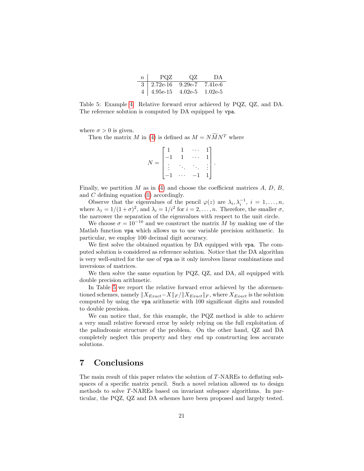| $n$ | POZ                      | ΩZ | $\mathsf{D}\mathsf{A}$ |
|-----|--------------------------|----|------------------------|
|     | $3   2.72e-16   9.29e-7$ |    | 7.41e-6                |
|     | $4   4.95e-15   4.02e-5$ |    | $1.02e-5$              |

<span id="page-20-0"></span>Table 5: Example [4.](#page-19-0) Relative forward error achieved by PQZ, QZ, and DA. The reference solution is computed by DA equipped by vpa.

where  $\sigma > 0$  is given.

Then the matrix M in [\(4\)](#page-3-2) is defined as  $M = N\widetilde{M}N^{T}$  where

|  |                          |                |                      | 1 <sup>7</sup>   |  |
|--|--------------------------|----------------|----------------------|------------------|--|
|  | $\overline{1}$           | $\overline{1}$ | $\ddot{\phantom{a}}$ | $1\vert$         |  |
|  |                          |                |                      | $\rightarrow$ 1. |  |
|  | $\overline{\phantom{0}}$ | .              | 1                    | $1\vert$         |  |

Finally, we partition M as in [\(4\)](#page-3-2) and choose the coefficient matrices  $A, D, B$ , and C defining equation [\(1\)](#page-0-0) accordingly.

Observe that the eigenvalues of the pencil  $\varphi(z)$  are  $\lambda_i, \lambda_i^{-1}, i = 1, \ldots, n$ , where  $\lambda_1 = 1/(1+\sigma)^2$ , and  $\lambda_i = 1/i^2$  for  $i = 2, ..., n$ . Therefore, the smaller  $\sigma$ , the narrower the separation of the eigenvalues with respect to the unit circle.

We choose  $\sigma = 10^{-10}$  and we construct the matrix M by making use of the Matlab function vpa which allows us to use variable precision arithmetic. In particular, we employ 100 decimal digit accuracy.

We first solve the obtained equation by DA equipped with vpa. The computed solution is considered as reference solution. Notice that the DA algorithm is very well-suited for the use of vpa as it only involves linear combinations and inversions of matrices.

We then solve the same equation by PQZ, QZ, and DA, all equipped with double precision arithmetic.

In Table [5](#page-20-0) we report the relative forward error achieved by the aforementioned schemes, namely  $||X_{Exact} - X||_F / ||X_{Exact}||_F$ , where  $X_{Exact}$  is the solution computed by using the vpa arithmetic with 100 significant digits and rounded to double precision.

We can notice that, for this example, the PQZ method is able to achieve a very small relative forward error by solely relying on the full exploitation of the palindromic structure of the problem. On the other hand, QZ and DA completely neglect this property and they end up constructing less accurate solutions.

# 7 Conclusions

The main result of this paper relates the solution of T-NAREs to deflating subspaces of a specific matrix pencil. Such a novel relation allowed us to design methods to solve T-NAREs based on invariant subspace algorithms. In particular, the PQZ, QZ and DA schemes have been proposed and largely tested.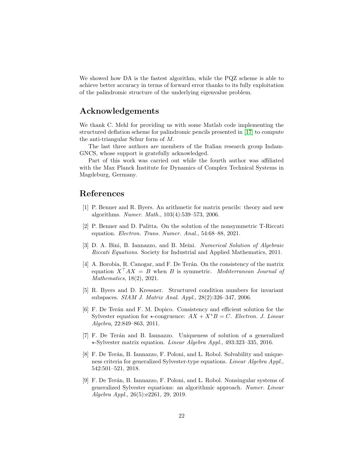We showed how DA is the fastest algorithm, while the PQZ scheme is able to achieve better accuracy in terms of forward error thanks to its fully exploitation of the palindromic structure of the underlying eigenvalue problem.

# Acknowledgements

We thank C. Mehl for providing us with some Matlab code implementing the structured deflation scheme for palindromic pencils presented in [\[17\]](#page-22-3) to compute the anti-triangular Schur form of M.

The last three authors are members of the Italian research group Indam-GNCS, whose support is gratefully acknowledged.

Part of this work was carried out while the fourth author was affiliated with the Max Planck Institute for Dynamics of Complex Technical Systems in Magdeburg, Germany.

### References

- <span id="page-21-8"></span>[1] P. Benner and R. Byers. An arithmetic for matrix pencils: theory and new algorithms. Numer. Math., 103(4):539–573, 2006.
- <span id="page-21-0"></span>[2] P. Benner and D. Palitta. On the solution of the nonsymmetric T-Riccati equation. Electron. Trans. Numer. Anal., 54:68–88, 2021.
- <span id="page-21-2"></span>[3] D. A. Bini, B. Iannazzo, and B. Meini. Numerical Solution of Algebraic Riccati Equations. Society for Industrial and Applied Mathematics, 2011.
- <span id="page-21-1"></span>[4] A. Borobia, R. Canogar, and F. De Terán. On the consistency of the matrix equation  $X^{\dagger}AX = B$  when B is symmetric. Mediterranean Journal of Mathematics, 18(2), 2021.
- <span id="page-21-3"></span>[5] R. Byers and D. Kressner. Structured condition numbers for invariant subspaces. SIAM J. Matrix Anal. Appl., 28(2):326–347, 2006.
- <span id="page-21-4"></span>[6] F. De Ter´an and F. M. Dopico. Consistency and efficient solution for the Sylvester equation for  $\star$ -congruence:  $AX + X^*B = C$ . Electron. J. Linear Algebra, 22:849–863, 2011.
- <span id="page-21-5"></span>[7] F. De Ter´an and B. Iannazzo. Uniqueness of solution of a generalized ?-Sylvester matrix equation. Linear Algebra Appl., 493:323–335, 2016.
- <span id="page-21-6"></span>[8] F. De Terán, B. Iannazzo, F. Poloni, and L. Robol. Solvability and uniqueness criteria for generalized Sylvester-type equations. Linear Algebra Appl., 542:501–521, 2018.
- <span id="page-21-7"></span>[9] F. De Terán, B. Iannazzo, F. Poloni, and L. Robol. Nonsingular systems of generalized Sylvester equations: an algorithmic approach. Numer. Linear Algebra Appl., 26(5):e2261, 29, 2019.